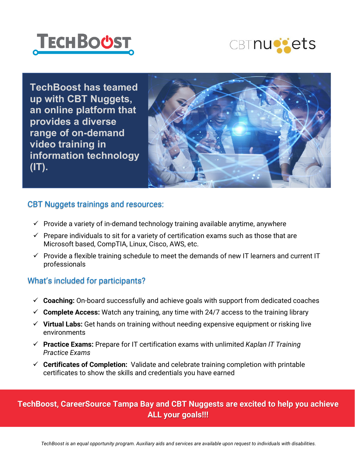



**TechBoost has teamed up with CBT Nuggets, an online platform that provides a diverse range of on-demand video training in information technology (IT).**



#### CBT Nuggets trainings and resources:

- $\checkmark$  Provide a variety of in-demand technology training available anytime, anywhere
- $\checkmark$  Prepare individuals to sit for a variety of certification exams such as those that are Microsoft based, CompTIA, Linux, Cisco, AWS, etc.
- $\checkmark$  Provide a flexible training schedule to meet the demands of new IT learners and current IT professionals

#### What's included for participants?

- **Coaching:** On-board successfully and achieve goals with support from dedicated coaches
- $\checkmark$  Complete Access: Watch any training, any time with 24/7 access to the training library
- **Virtual Labs:** Get hands on training without needing expensive equipment or risking live environments
- **Practice Exams:** Prepare for IT certification exams with unlimited *Kaplan IT Training Practice Exams*
- **Certificates of Completion:** Validate and celebrate training completion with printable certificates to show the skills and credentials you have earned

#### **TechBoost, CareerSource Tampa Bay and CBT Nuggests are excited to help you achieve ALL your goals!!!**